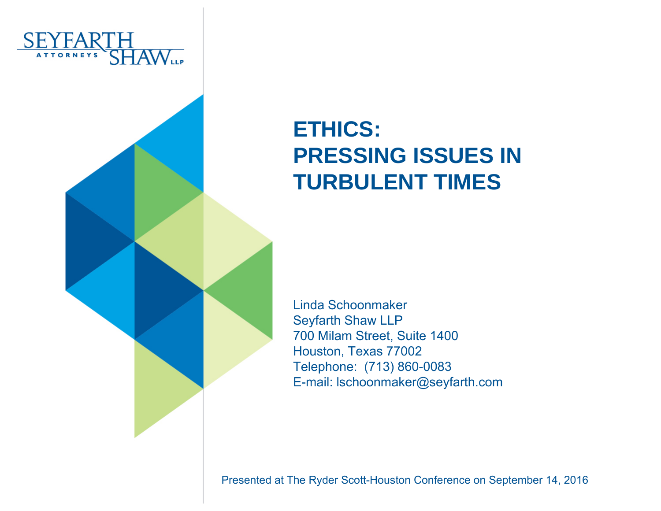

#### **ETHICS: PRESSING ISSUES IN TURBULENT TIMES**

Linda SchoonmakerSeyfarth Shaw LLP 700 Milam Street, Suite 1400 Houston, Texas 77002 Telephone: (713) 860-0083 E-mail: lschoonmaker@seyfarth.com

Presented at The Ryder Scott-Houston Conference on September 14, 2016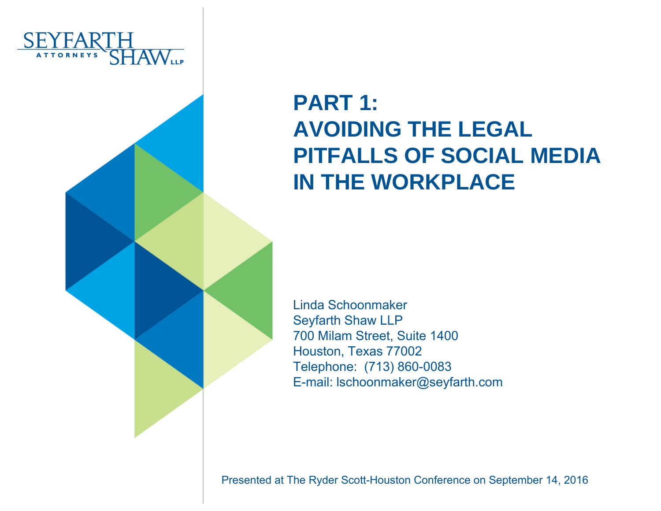

#### **PART 1:AVOIDING THE LEGAL PITFALLS OF SOCIAL MEDIA IN THE WORKPLACE**

Linda SchoonmakerSeyfarth Shaw LLP 700 Milam Street, Suite 1400 Houston, Texas 77002 Telephone: (713) 860-0083 E-mail: lschoonmaker@seyfarth.com

Presented at The Ryder Scott-Houston Conference on September 14, 2016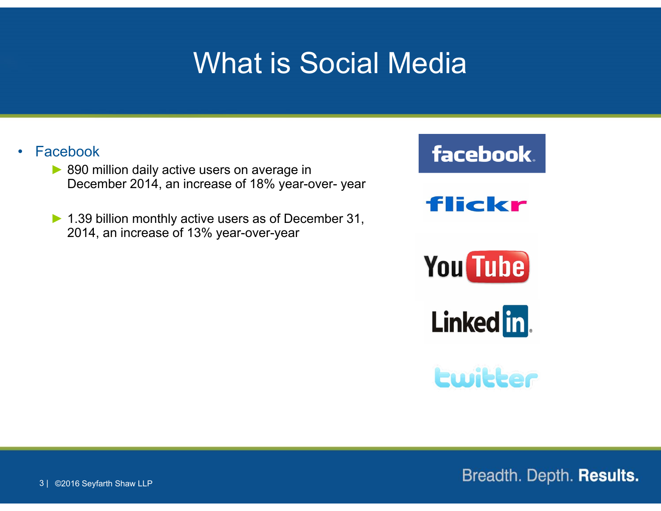## What is Social Media

#### •Facebook

- ► 890 million daily active users on average in December 2014, an increase of 18% year-over- year
- ► 1.39 billion monthly active users as of December 31, 2014, an increase of 13% year-over-year









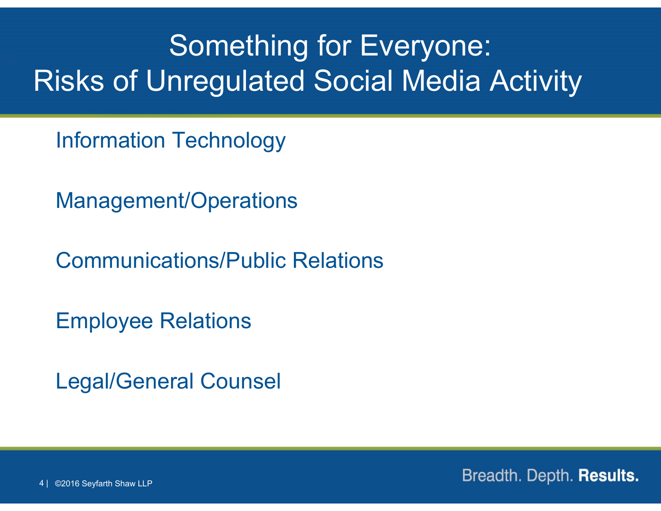# Something for Everyone: Risks of Unregulated Social Media Activity

Information Technology

Management/Operations

Communications/Public Relations

Employee Relations

Legal/General Counsel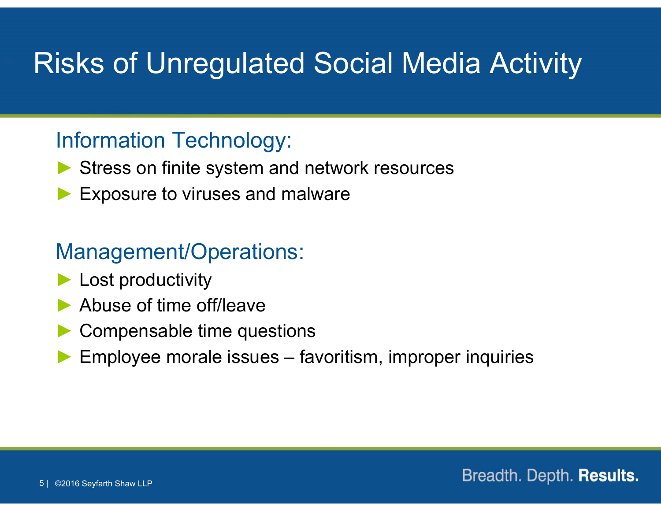## Risks of Unregulated Social Media Activity

#### Information Technology:

- ▶ Stress on finite system and network resources
- ►Exposure to viruses and malware

#### Management/Operations:

- ► Lost productivity
- ►Abuse of time off/leave
- ►Compensable time questions
- ►Employee morale issues – favoritism, improper inquiries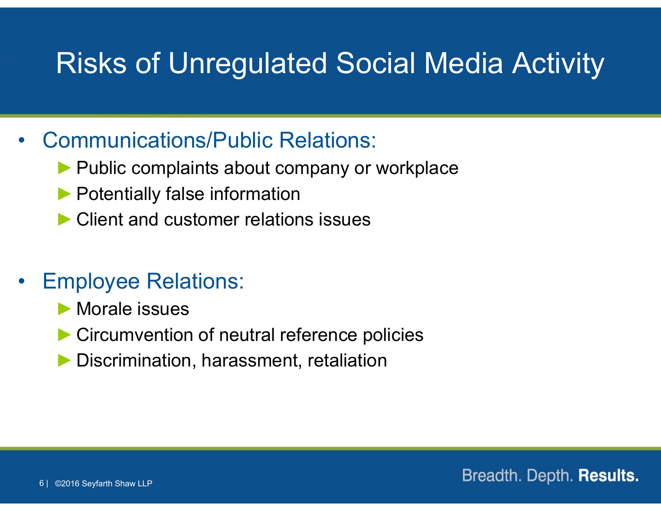## Risks of Unregulated Social Media Activity

#### •Communications/Public Relations:

- ▶ Public complaints about company or workplace
- ▶ Potentially false information
- ►Client and customer relations issues

#### •Employee Relations:

- ►Morale issues
- ► Circumvention of neutral reference policies
- Discrimination, harassment, retaliation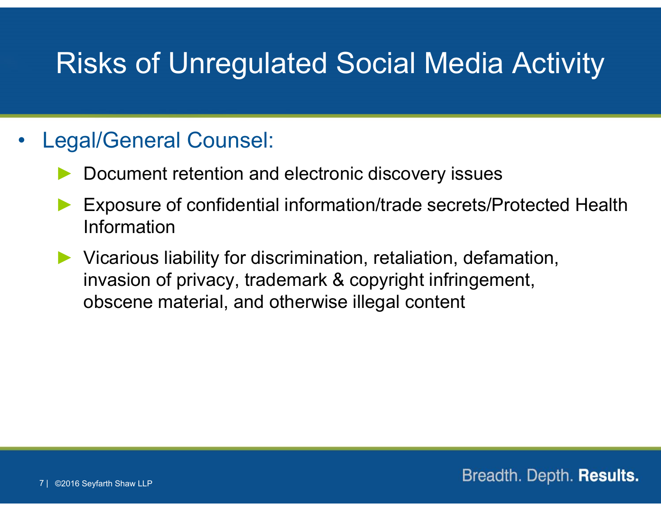## Risks of Unregulated Social Media Activity

#### •Legal/General Counsel:

- ►Document retention and electronic discovery issues
- ► Exposure of confidential information/trade secrets/Protected Health Information
- ► Vicarious liability for discrimination, retaliation, defamation, invasion of privacy, trademark & copyright infringement, obscene material, and otherwise illegal content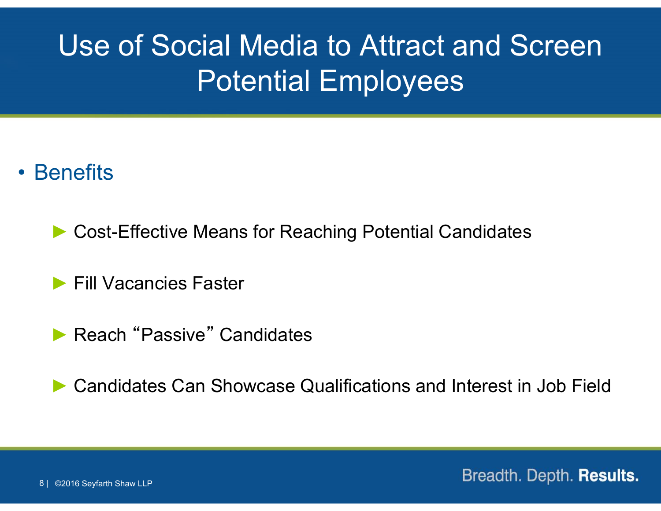# Use of Social Media to Attract and Screen Potential Employees

#### • Benefits

►Cost-Effective Means for Reaching Potential Candidates

► Fill Vacancies Faster

▶ Reach "Passive" Candidates

►Candidates Can Showcase Qualifications and Interest in Job Field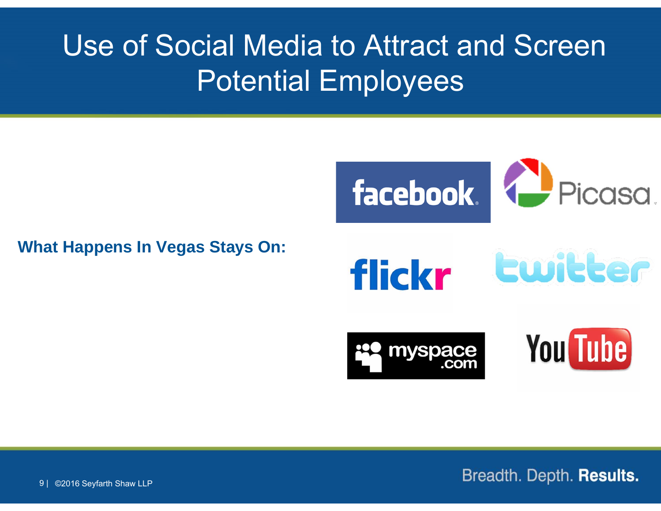# Use of Social Media to Attract and Screen Potential Employees

#### **What Happens In Vegas Stays On:**

facebook. (2 Piccisci.

flickr





**You Tube**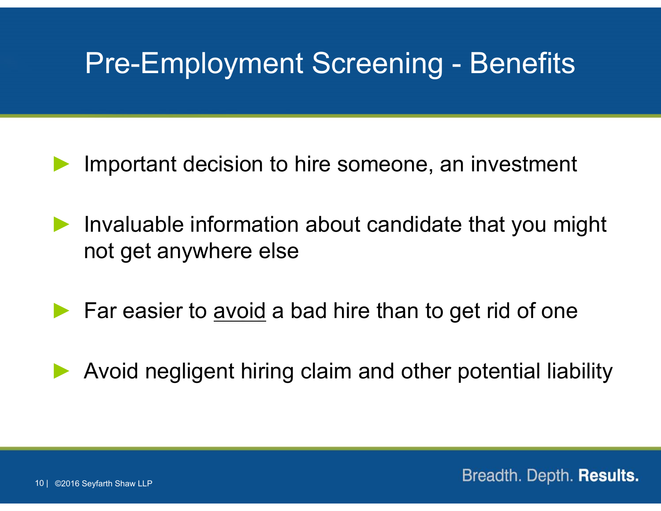### Pre-Employment Screening - Benefits

- ►Important decision to hire someone, an investment
- ► Invaluable information about candidate that you might not get anywhere else
- ► Far easier to avoid a bad hire than to get rid of one
- ►Avoid negligent hiring claim and other potential liability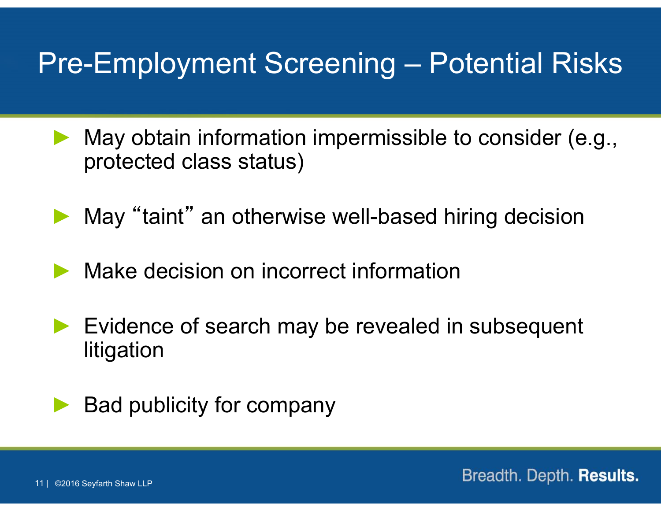## Pre-Employment Screening – Potential Risks

- ► May obtain information impermissible to consider (e.g., protected class status)
- ►May "taint" an otherwise well-based hiring decision
- ►Make decision on incorrect information
- ► Evidence of search may be revealed in subsequent litigation



Bad publicity for company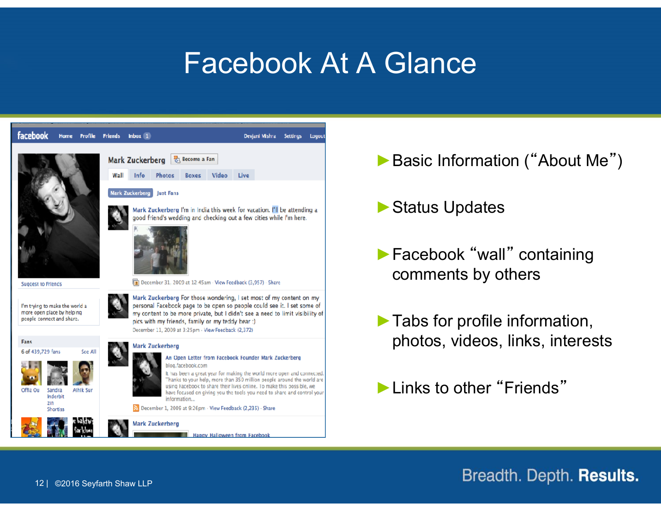#### Facebook At A Glance



- ▶ Basic Information ("About Me")
- ►Status Updates
- ►Facebook "wall" containing comments by others
- ►Tabs for profile information, photos, videos, links, interests

►Links to other "Friends"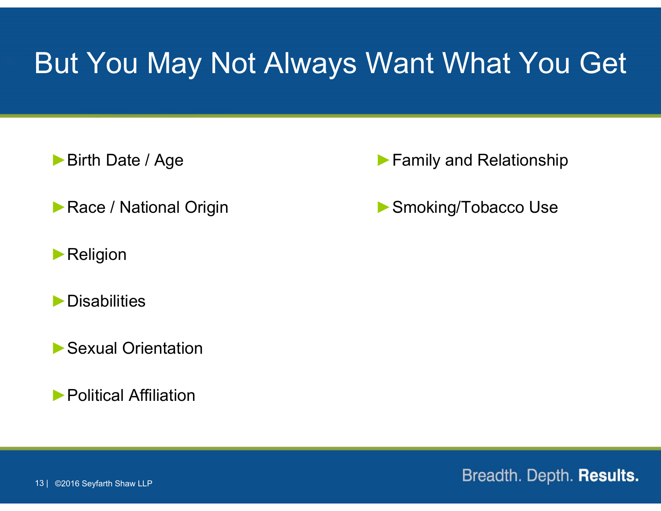#### But You May Not Always Want What You Get

►Birth Date / Age

▶ Race / National Origin

▶ Religion

►Disabilities

▶ Sexual Orientation

►Political Affiliation

▶ Family and Relationship

▶ Smoking/Tobacco Use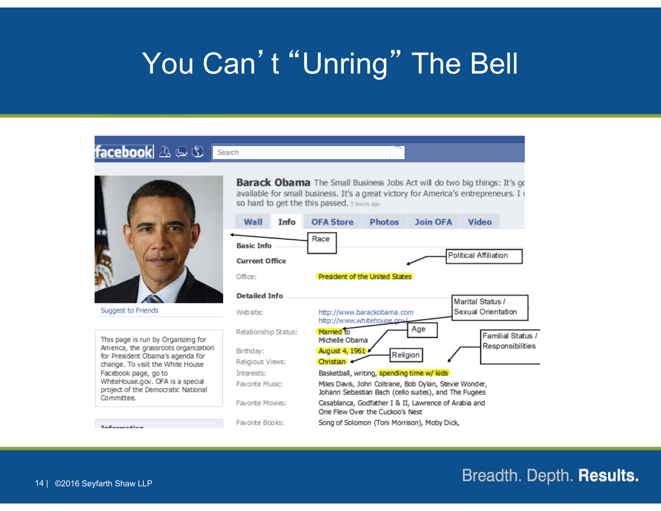## You Can't "Unring" The Bell

#### facebook A D O Search



Suggest to Friends

Information

This page is run by Organizing for America, the grassroots organization for President Obama's agenda for change. To visit the White House Facebook page, go to WhiteHouse.gov. OFA is a special project of the Democratic National Committee.

**Barack Obama** The Small Business Jobs Act will do two big things: It's go available for small business. It's a great victory for America's entrepreneurs. I v so hard to get the this passed. 3 hours ago

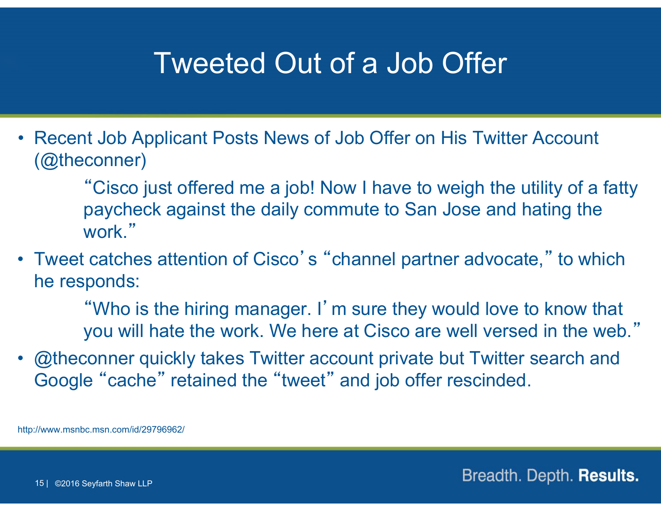#### Tweeted Out of a Job Offer

• Recent Job Applicant Posts News of Job Offer on His Twitter Account (@theconner)

> "Cisco just offered me a job! Now I have to weigh the utility of a fatty paycheck against the daily commute to San Jose and hating the work."

• Tweet catches attention of Cisco's "channel partner advocate," to which he responds:

> "Who is the hiring manager. I'm sure they would love to know that you will hate the work. We here at Cisco are well versed in the web."

• @theconner quickly takes Twitter account private but Twitter search and Google "cache" retained the "tweet" and job offer rescinded.

http://www.msnbc.msn.com/id/29796962/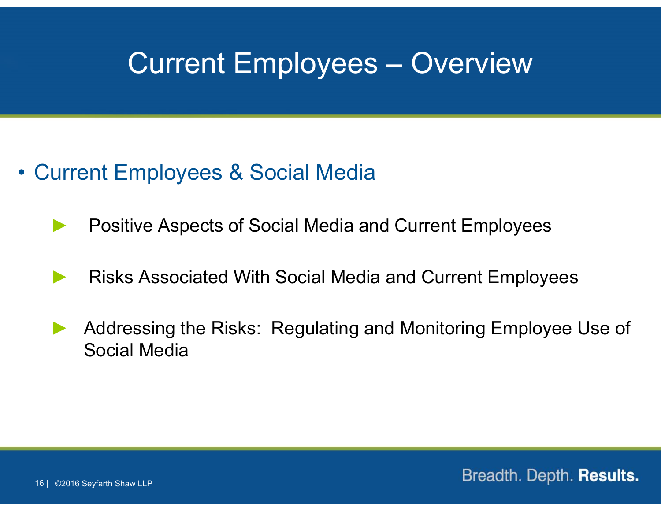#### Current Employees – Overview

- Current Employees & Social Media
	- ►Positive Aspects of Social Media and Current Employees
	- ►Risks Associated With Social Media and Current Employees
	- ► Addressing the Risks: Regulating and Monitoring Employee Use of Social Media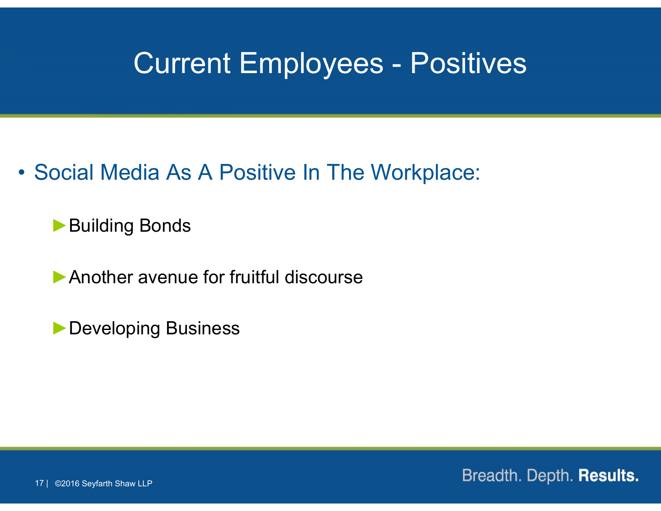#### Current Employees - Positives

• Social Media As A Positive In The Workplace:

▶Building Bonds

▶ Another avenue for fruitful discourse

►Developing Business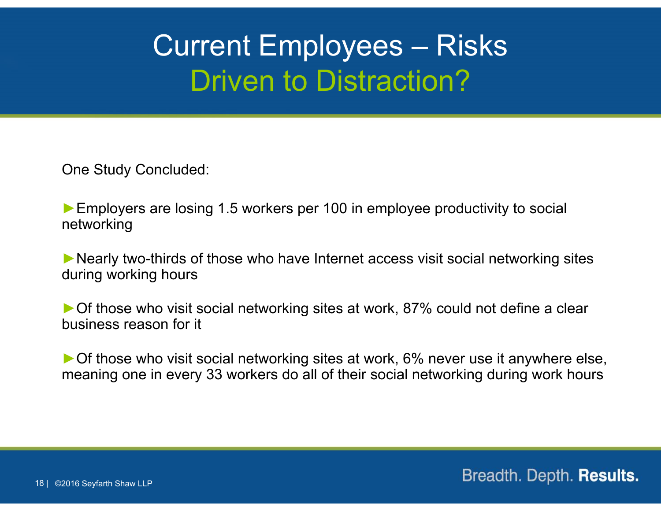# Current Employees – Risks Driven to Distraction?

One Study Concluded:

► Employers are losing 1.5 workers per 100 in employee productivity to social networking

►Nearly two-thirds of those who have Internet access visit social networking sites during working hours

►Of those who visit social networking sites at work, 87% could not define a clear business reason for it

►Of those who visit social networking sites at work, 6% never use it anywhere else, meaning one in every 33 workers do all of their social networking during work hours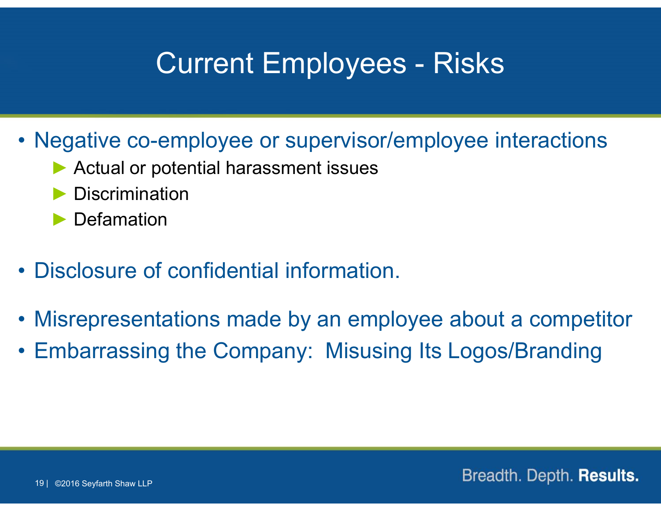## Current Employees - Risks

- Negative co-employee or supervisor/employee interactions
	- ► Actual or potential harassment issues
	- ►Discrimination
	- ▶ Defamation
- Disclosure of confidential information.
- Misrepresentations made by an employee about <sup>a</sup> competitor
- Embarrassing the Company: Misusing Its Logos/Branding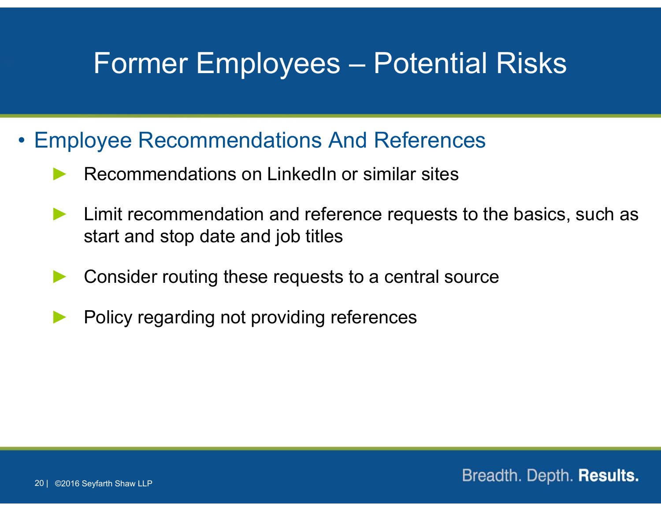#### Former Employees – Potential Risks

- Employee Recommendations And References
	- ►Recommendations on LinkedIn or similar sites
	- ► Limit recommendation and reference requests to the basics, such as start and stop date and job titles
	- ►Consider routing these requests to a central source
	- ►Policy regarding not providing references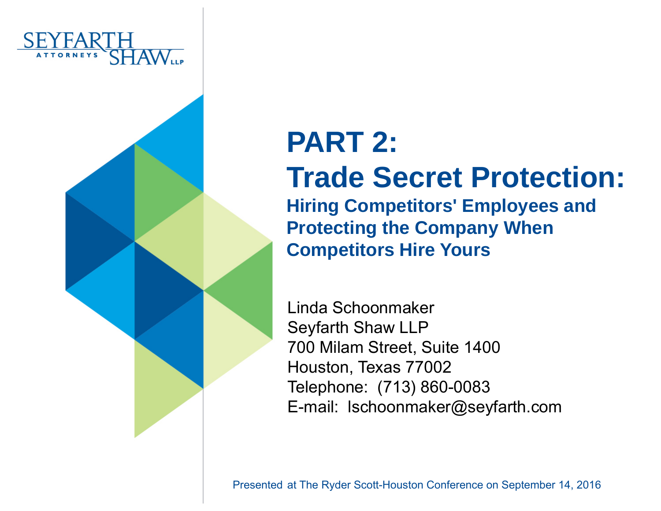

# **PART 2:Trade Secret Protection:**

**Hiring Competitors' Employees and Protecting the Company When Competitors Hire Yours**

Linda SchoonmakerSeyfarth Shaw LLP 700 Milam Street, Suite 1400 Houston, Texas 77002 Telephone: (713) 860-0083 E-mail: lschoonmaker@seyfarth.com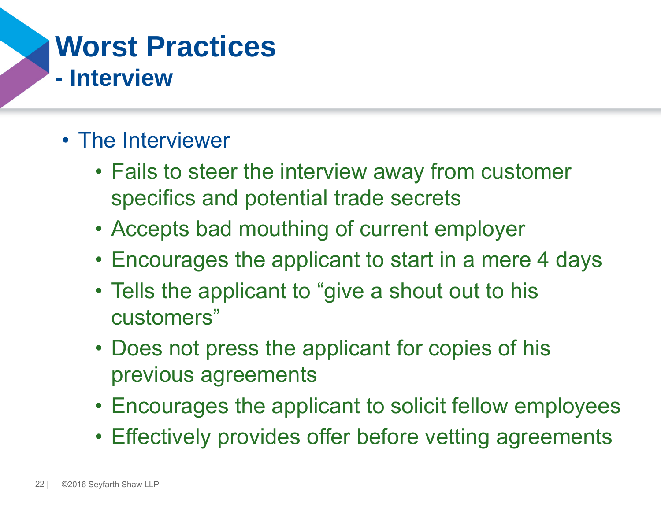#### **Worst Practices - Interview**

- The Interviewer
	- Fails to steer the interview away from customer specifics and potential trade secrets
	- Accepts bad mouthing of current employer
	- Encourages the applicant to start in a mere 4 days
	- Tells the applicant to "give a shout out to his customers"
	- Does not press the applicant for copies of his previous agreements
	- Encourages the applicant to solicit fellow employees
	- Effectively provides offer before vetting agreements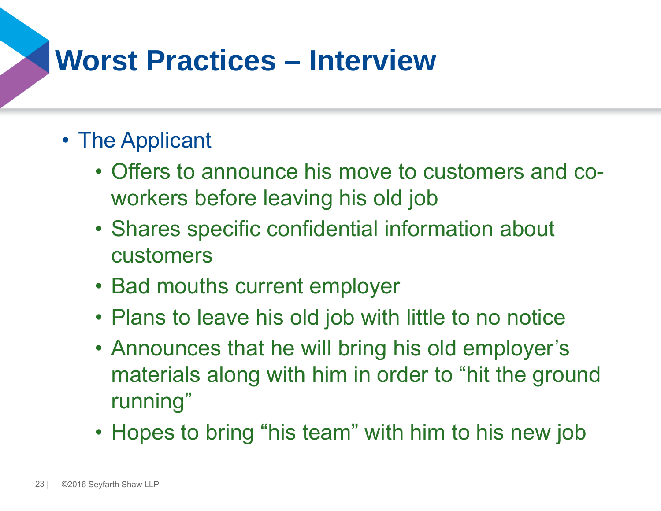## **Worst Practices – Interview**

#### • The Applicant

- Offers to announce his move to customers and coworkers before leaving his old job
- Shares specific confidential information about customers
- Bad mouths current employer
- Plans to leave his old job with little to no notice
- Announces that he will bring his old employer's materials along with him in order to "hit the ground running"
- Hopes to bring "his team" with him to his new job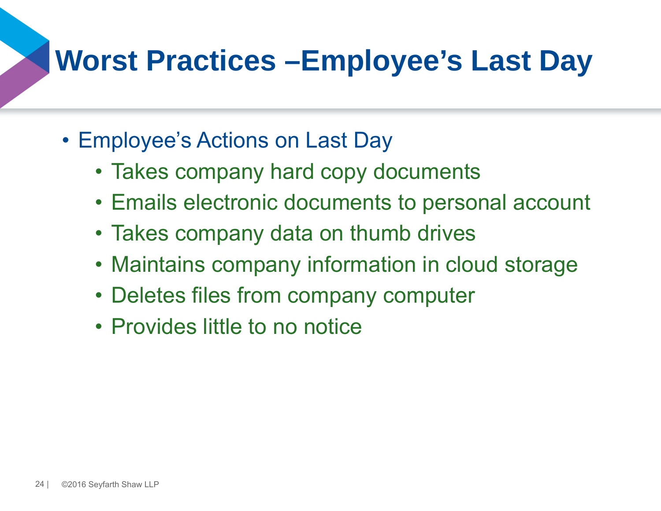# **Worst Practices –Employee's Last Day**

- Employee's Actions on Last Day
	- Takes company hard copy documents
	- Emails electronic documents to personal account
	- Takes company data on thumb drives
	- Maintains company information in cloud storage
	- Deletes files from company computer
	- Provides little to no notice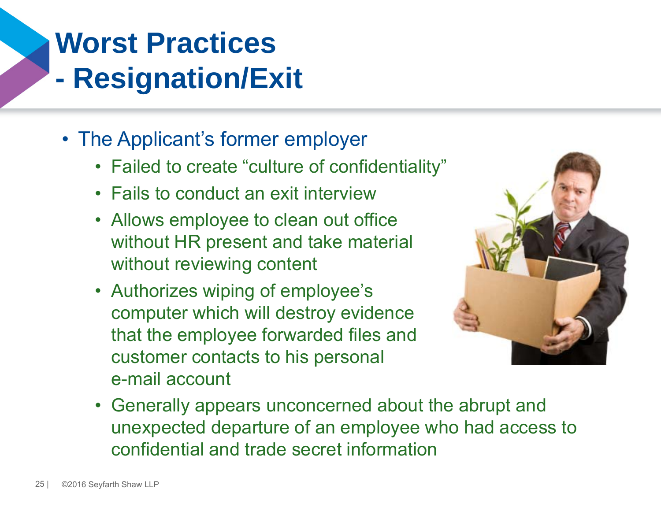#### **Worst Practices - Resignation/Exit**

- The Applicant's former employer
	- Failed to create "culture of confidentiality"
	- Fails to conduct an exit interview
	- Allows employee to clean out office without HR present and take material without reviewing content
	- Authorizes wiping of employee's computer which will destroy evidence that the employee forwarded files and customer contacts to his personal e-mail account



• Generally appears unconcerned about the abrupt and unexpected departure of an employee who had access to confidential and trade secret information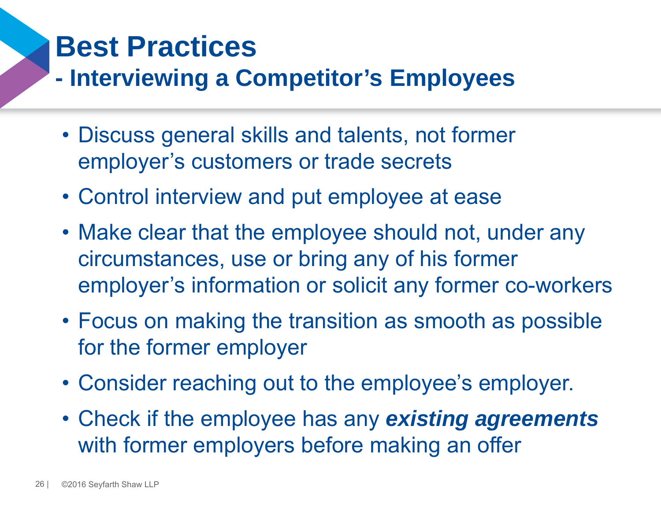## **Best Practices**

#### **- Interviewing a Competitor's Employees**

- Discuss general skills and talents, not former employer's customers or trade secrets
- Control interview and put employee at ease
- Make clear that the employee should not, under any circumstances, use or bring any of his former employer's information or solicit any former co-workers
- Focus on making the transition as smooth as possible for the former employer
- Consider reaching out to the employee's employer.
- Check if the employee has any *existing agreements*  with former employers before making an offer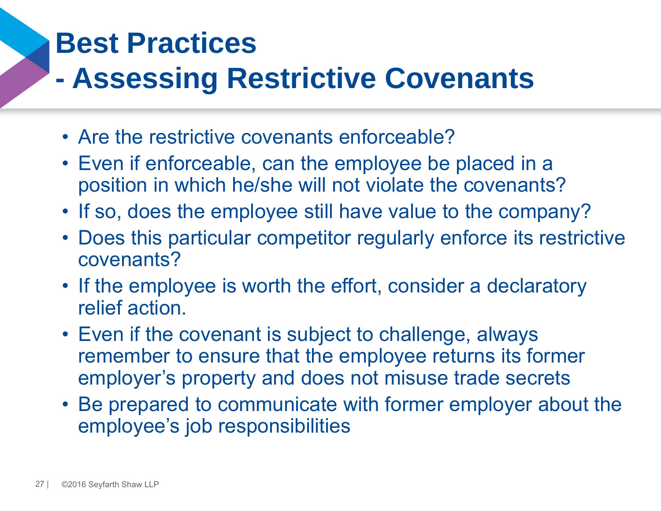## **Best Practices**

#### **- Assessing Restrictive Covenants**

- Are the restrictive covenants enforceable?
- Even if enforceable, can the employee be placed in a position in which he/she will not violate the covenants?
- If so, does the employee still have value to the company?
- Does this particular competitor regularly enforce its restrictive covenants?
- If the employee is worth the effort, consider a declaratory relief action.
- Even if the covenant is subject to challenge, always remember to ensure that the employee returns its former employer's property and does not misuse trade secrets
- Be prepared to communicate with former employer about the employee's job responsibilities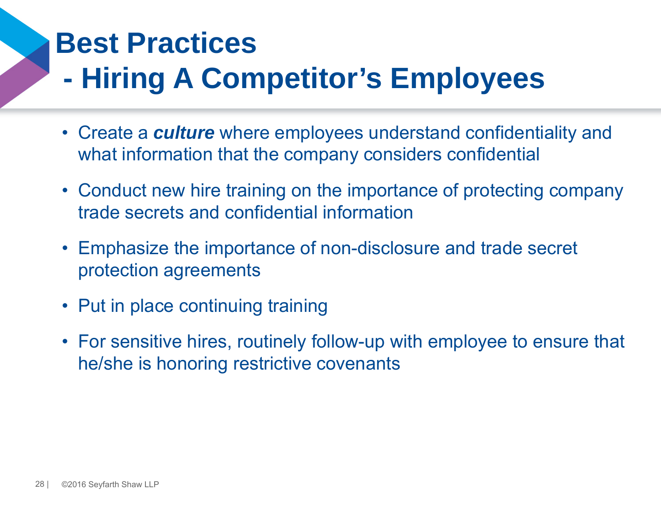#### **Best Practices- Hiring A Competitor's Employees**

- Create a *culture* where employees understand confidentiality and what information that the company considers confidential
- Conduct new hire training on the importance of protecting company trade secrets and confidential information
- Emphasize the importance of non-disclosure and trade secret protection agreements
- Put in place continuing training
- For sensitive hires, routinely follow-up with employee to ensure that he/she is honoring restrictive covenants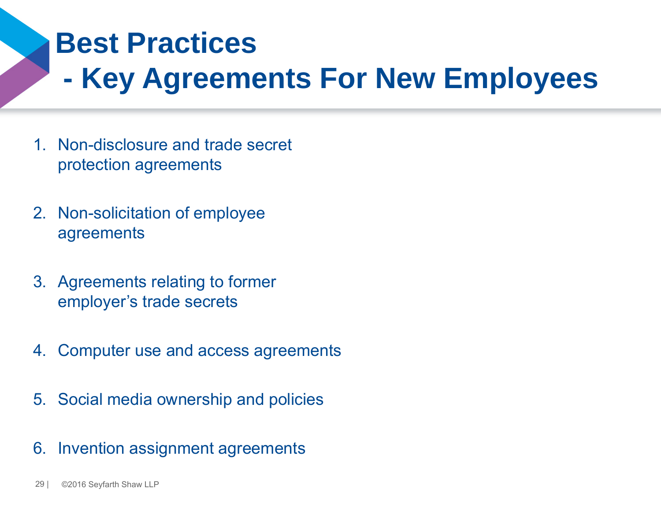#### **Best Practices**

**- Key Agreements For New Employees**

- 1. Non-disclosure and trade secret protection agreements
- 2. Non-solicitation of employee agreements
- 3. Agreements relating to former employer's trade secrets
- 4. Computer use and access agreements
- 5. Social media ownership and policies
- 6. Invention assignment agreements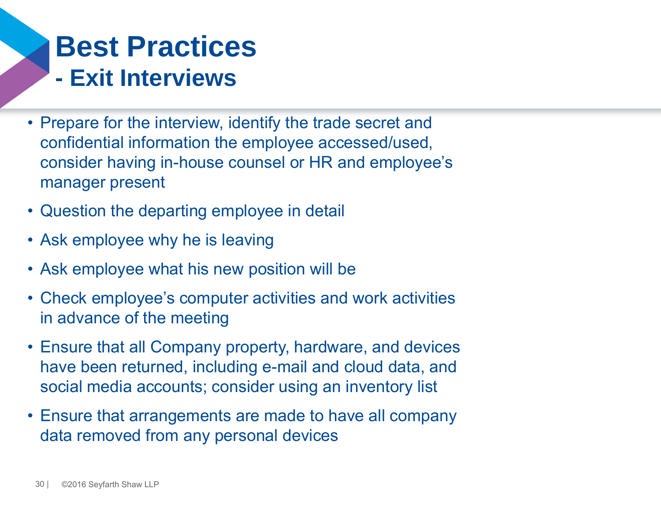## **Best Practices- Exit Interviews**

- Prepare for the interview, identify the trade secret and confidential information the employee accessed/used, consider having in-house counsel or HR and employee's manager present
- Question the departing employee in detail
- Ask employee why he is leaving
- Ask employee what his new position will be
- Check employee's computer activities and work activities in advance of the meeting
- Ensure that all Company property, hardware, and devices have been returned, including e-mail and cloud data, and social media accounts; consider using an inventory list
- Ensure that arrangements are made to have all company data removed from any personal devices